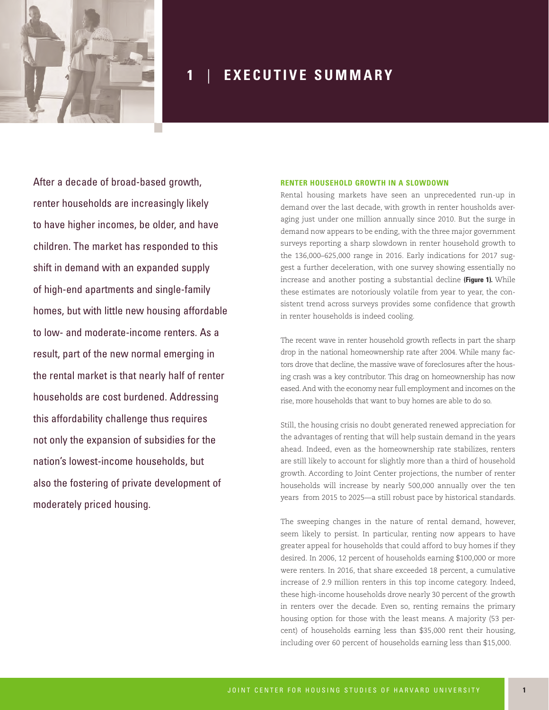

# **1** | **E X E C U T I V E S U M M A R Y**

After a decade of broad-based growth, renter households are increasingly likely to have higher incomes, be older, and have children. The market has responded to this shift in demand with an expanded supply of high-end apartments and single-family homes, but with little new housing affordable to low- and moderate-income renters. As a result, part of the new normal emerging in the rental market is that nearly half of renter households are cost burdened. Addressing this affordability challenge thus requires not only the expansion of subsidies for the nation's lowest-income households, but also the fostering of private development of moderately priced housing.

#### **RENTER HOUSEHOLD GROWTH IN A SLOWDOWN**

Rental housing markets have seen an unprecedented run-up in demand over the last decade, with growth in renter housholds averaging just under one million annually since 2010. But the surge in demand now appears to be ending, with the three major government surveys reporting a sharp slowdown in renter household growth to the 136,000–625,000 range in 2016. Early indications for 2017 suggest a further deceleration, with one survey showing essentially no increase and another posting a substantial decline **(Figure 1).** While these estimates are notoriously volatile from year to year, the consistent trend across surveys provides some confidence that growth in renter households is indeed cooling.

The recent wave in renter household growth reflects in part the sharp drop in the national homeownership rate after 2004. While many factors drove that decline, the massive wave of foreclosures after the housing crash was a key contributor. This drag on homeownership has now eased. And with the economy near full employment and incomes on the rise, more households that want to buy homes are able to do so.

Still, the housing crisis no doubt generated renewed appreciation for the advantages of renting that will help sustain demand in the years ahead. Indeed, even as the homeownership rate stabilizes, renters are still likely to account for slightly more than a third of household growth. According to Joint Center projections, the number of renter households will increase by nearly 500,000 annually over the ten years from 2015 to 2025—a still robust pace by historical standards.

The sweeping changes in the nature of rental demand, however, seem likely to persist. In particular, renting now appears to have greater appeal for households that could afford to buy homes if they desired. In 2006, 12 percent of households earning \$100,000 or more were renters. In 2016, that share exceeded 18 percent, a cumulative increase of 2.9 million renters in this top income category. Indeed, these high-income households drove nearly 30 percent of the growth in renters over the decade. Even so, renting remains the primary housing option for those with the least means. A majority (53 percent) of households earning less than \$35,000 rent their housing, including over 60 percent of households earning less than \$15,000.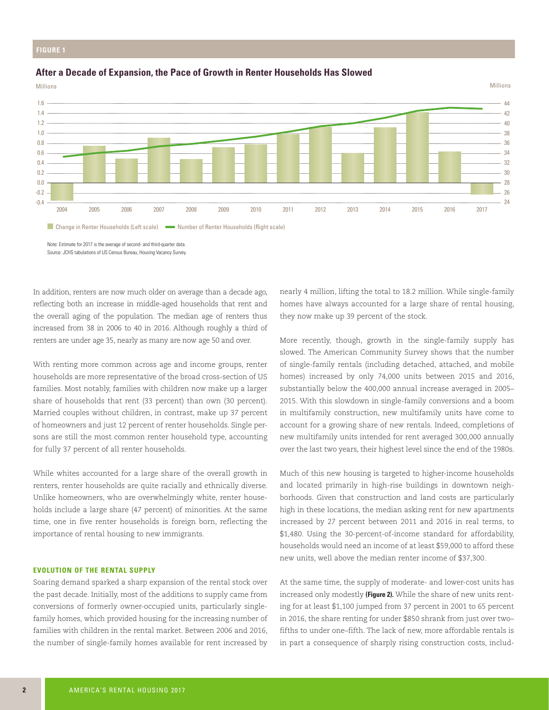### **FIGURE 1**

# **After a Decade of Expansion, the Pace of Growth in Renter Households Has Slowed**





■ Change in Renter Households (Left scale) ■ Number of Renter Households (Right scale)

Note: Estimate for 2017 is the average of second- and third-quarter data. Source: JCHS tabulations of US Census Bureau, Housing Vacancy Survey.

In addition, renters are now much older on average than a decade ago, reflecting both an increase in middle-aged households that rent and the overall aging of the population. The median age of renters thus increased from 38 in 2006 to 40 in 2016. Although roughly a third of renters are under age 35, nearly as many are now age 50 and over.

With renting more common across age and income groups, renter households are more representative of the broad cross-section of US families. Most notably, families with children now make up a larger share of households that rent (33 percent) than own (30 percent). Married couples without children, in contrast, make up 37 percent of homeowners and just 12 percent of renter households. Single persons are still the most common renter household type, accounting for fully 37 percent of all renter households.

While whites accounted for a large share of the overall growth in renters, renter households are quite racially and ethnically diverse. Unlike homeowners, who are overwhelmingly white, renter households include a large share (47 percent) of minorities. At the same time, one in five renter households is foreign born, reflecting the importance of rental housing to new immigrants.

#### **EVOLUTION OF THE RENTAL SUPPLY**

Soaring demand sparked a sharp expansion of the rental stock over the past decade. Initially, most of the additions to supply came from conversions of formerly owner-occupied units, particularly singlefamily homes, which provided housing for the increasing number of families with children in the rental market. Between 2006 and 2016, the number of single-family homes available for rent increased by

nearly 4 million, lifting the total to 18.2 million. While single-family homes have always accounted for a large share of rental housing, they now make up 39 percent of the stock.

Millions

More recently, though, growth in the single-family supply has slowed. The American Community Survey shows that the number of single-family rentals (including detached, attached, and mobile homes) increased by only 74,000 units between 2015 and 2016, substantially below the 400,000 annual increase averaged in 2005– 2015. With this slowdown in single-family conversions and a boom in multifamily construction, new multifamily units have come to account for a growing share of new rentals. Indeed, completions of new multifamily units intended for rent averaged 300,000 annually over the last two years, their highest level since the end of the 1980s.

Much of this new housing is targeted to higher-income households and located primarily in high-rise buildings in downtown neighborhoods. Given that construction and land costs are particularly high in these locations, the median asking rent for new apartments increased by 27 percent between 2011 and 2016 in real terms, to \$1,480. Using the 30-percent-of-income standard for affordability, households would need an income of at least \$59,000 to afford these new units, well above the median renter income of \$37,300.

At the same time, the supply of moderate- and lower-cost units has increased only modestly **(Figure 2).** While the share of new units renting for at least \$1,100 jumped from 37 percent in 2001 to 65 percent in 2016, the share renting for under \$850 shrank from just over two– fifths to under one–fifth. The lack of new, more affordable rentals is in part a consequence of sharply rising construction costs, includ-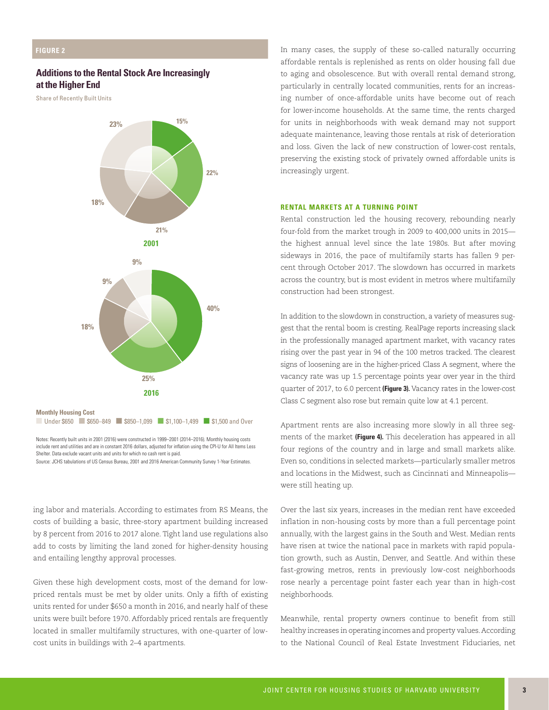# **Additions to the Rental Stock Are Increasingly at the Higher End**

Share of Recently Built Units



■ Under \$650 ■ \$650–849 ■ \$850–1,099 ■ \$1,100–1,499 ■ \$1,500 and Over

Notes: Recently built units in 2001 (2016) were constructed in 1999–2001 (2014–2016). Monthly housing costs include rent and utilities and are in constant 2016 dollars, adjusted for inflation using the CPI-U for All Items Less Shelter. Data exclude vacant units and units for which no cash rent is paid.

Source: JCHS tabulations of US Census Bureau, 2001 and 2016 American Community Survey 1-Year Estimates.

ing labor and materials. According to estimates from RS Means, the costs of building a basic, three-story apartment building increased by 8 percent from 2016 to 2017 alone. Tight land use regulations also add to costs by limiting the land zoned for higher-density housing and entailing lengthy approval processes.

Given these high development costs, most of the demand for lowpriced rentals must be met by older units. Only a fifth of existing units rented for under \$650 a month in 2016, and nearly half of these units were built before 1970. Affordably priced rentals are frequently located in smaller multifamily structures, with one-quarter of lowcost units in buildings with 2–4 apartments.

In many cases, the supply of these so-called naturally occurring affordable rentals is replenished as rents on older housing fall due to aging and obsolescence. But with overall rental demand strong, particularly in centrally located communities, rents for an increasing number of once-affordable units have become out of reach for lower-income households. At the same time, the rents charged for units in neighborhoods with weak demand may not support **15% 22%** adequate maintenance, leaving those rentals at risk of deterioration and loss. Given the lack of new construction of lower-cost rentals, preserving the existing stock of privately owned affordable units is increasingly urgent.

# **RENTAL MARKETS AT A TURNING POINT 21%**

Rental construction led the housing recovery, rebounding nearly four-fold from the market trough in 2009 to 400,000 units in 2015— **18%** the highest annual level since the late 1980s. But after moving sideways in 2016, the pace of multifamily starts has fallen 9 percent through October 2017. The slowdown has occurred in markets across the country, but is most evident in metros where multifamily **25%** construction had been strongest.

In addition to the slowdown in construction, a variety of measures suggest that the rental boom is cresting. RealPage reports increasing slack in the professionally managed apartment market, with vacancy rates rising over the past year in 94 of the 100 metros tracked. The clearest **18%** signs of loosening are in the higher-priced Class A segment, where the vacancy rate was up 1.5 percentage points year over year in the third **25% 9% 9%** quarter of 2017, to 6.0 percent **(Figure 3).** Vacancy rates in the lower-cost Class C segment also rose but remain quite low at 4.1 percent.

> Apartment rents are also increasing more slowly in all three segments of the market **(Figure 4).** This deceleration has appeared in all four regions of the country and in large and small markets alike. Even so, conditions in selected markets—particularly smaller metros and locations in the Midwest, such as Cincinnati and Minneapolis were still heating up.

> Over the last six years, increases in the median rent have exceeded inflation in non-housing costs by more than a full percentage point annually, with the largest gains in the South and West. Median rents have risen at twice the national pace in markets with rapid population growth, such as Austin, Denver, and Seattle. And within these fast-growing metros, rents in previously low-cost neighborhoods rose nearly a percentage point faster each year than in high-cost neighborhoods.

> Meanwhile, rental property owners continue to benefit from still healthy increases in operating incomes and property values. According to the National Council of Real Estate Investment Fiduciaries, net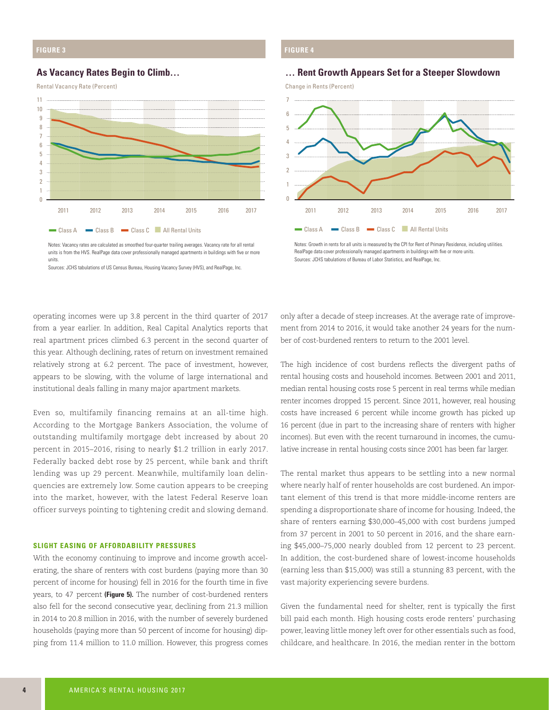# **FIGURE 3**

# **As Vacancy Rates Begin to Climb…**

Rental Vacancy Rate (Percent)



**FIGURE 4**



**… Rent Growth Appears Set for a Steeper Slowdown**

Notes: Vacancy rates are calculated as smoothed four-quarter trailing averages. Vacancy rate for all rental units is from the HVS. RealPage data cover professionally managed apartments in buildings with five or more units.

Sources: JCHS tabulations of US Census Bureau, Housing Vacancy Survey (HVS), and RealPage, Inc.

Notes: Growth in rents for all units is measured by the CPI for Rent of Primary Residence, including utilities. RealPage data cover professionally managed apartments in buildings with five or more units. Sources: JCHS tabulations of Bureau of Labor Statistics, and RealPage, Inc.

operating incomes were up 3.8 percent in the third quarter of 2017 from a year earlier. In addition, Real Capital Analytics reports that real apartment prices climbed 6.3 percent in the second quarter of this year. Although declining, rates of return on investment remained relatively strong at 6.2 percent. The pace of investment, however, appears to be slowing, with the volume of large international and institutional deals falling in many major apartment markets.

Even so, multifamily financing remains at an all-time high. According to the Mortgage Bankers Association, the volume of outstanding multifamily mortgage debt increased by about 20 percent in 2015–2016, rising to nearly \$1.2 trillion in early 2017. Federally backed debt rose by 25 percent, while bank and thrift lending was up 29 percent. Meanwhile, multifamily loan delinquencies are extremely low. Some caution appears to be creeping into the market, however, with the latest Federal Reserve loan officer surveys pointing to tightening credit and slowing demand.

#### **SLIGHT EASING OF AFFORDABILITY PRESSURES**

With the economy continuing to improve and income growth accelerating, the share of renters with cost burdens (paying more than 30 percent of income for housing) fell in 2016 for the fourth time in five years, to 47 percent **(Figure 5).** The number of cost-burdened renters also fell for the second consecutive year, declining from 21.3 million in 2014 to 20.8 million in 2016, with the number of severely burdened households (paying more than 50 percent of income for housing) dipping from 11.4 million to 11.0 million. However, this progress comes

only after a decade of steep increases. At the average rate of improvement from 2014 to 2016, it would take another 24 years for the number of cost-burdened renters to return to the 2001 level.

The high incidence of cost burdens reflects the divergent paths of rental housing costs and household incomes. Between 2001 and 2011, median rental housing costs rose 5 percent in real terms while median renter incomes dropped 15 percent. Since 2011, however, real housing costs have increased 6 percent while income growth has picked up 16 percent (due in part to the increasing share of renters with higher incomes). But even with the recent turnaround in incomes, the cumulative increase in rental housing costs since 2001 has been far larger.

The rental market thus appears to be settling into a new normal where nearly half of renter households are cost burdened. An important element of this trend is that more middle-income renters are spending a disproportionate share of income for housing. Indeed, the share of renters earning \$30,000–45,000 with cost burdens jumped from 37 percent in 2001 to 50 percent in 2016, and the share earning \$45,000–75,000 nearly doubled from 12 percent to 23 percent. In addition, the cost-burdened share of lowest-income households (earning less than \$15,000) was still a stunning 83 percent, with the vast majority experiencing severe burdens.

Given the fundamental need for shelter, rent is typically the first bill paid each month. High housing costs erode renters' purchasing power, leaving little money left over for other essentials such as food, childcare, and healthcare. In 2016, the median renter in the bottom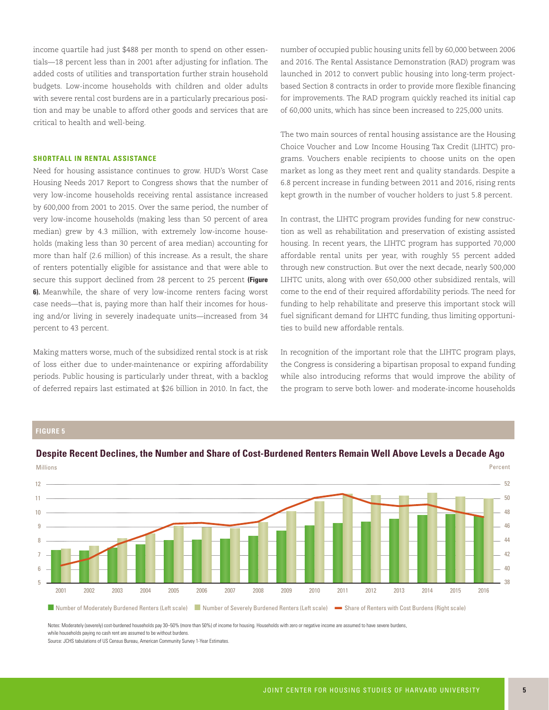income quartile had just \$488 per month to spend on other essentials—18 percent less than in 2001 after adjusting for inflation. The added costs of utilities and transportation further strain household budgets. Low-income households with children and older adults with severe rental cost burdens are in a particularly precarious position and may be unable to afford other goods and services that are critical to health and well-being.

#### **SHORTFALL IN RENTAL ASSISTANCE**

Need for housing assistance continues to grow. HUD's Worst Case Housing Needs 2017 Report to Congress shows that the number of very low-income households receiving rental assistance increased by 600,000 from 2001 to 2015. Over the same period, the number of very low-income households (making less than 50 percent of area median) grew by 4.3 million, with extremely low-income households (making less than 30 percent of area median) accounting for more than half (2.6 million) of this increase. As a result, the share of renters potentially eligible for assistance and that were able to secure this support declined from 28 percent to 25 percent **(Figure 6).** Meanwhile, the share of very low-income renters facing worst case needs—that is, paying more than half their incomes for housing and/or living in severely inadequate units—increased from 34 percent to 43 percent.

Making matters worse, much of the subsidized rental stock is at risk of loss either due to under-maintenance or expiring affordability periods. Public housing is particularly under threat, with a backlog of deferred repairs last estimated at \$26 billion in 2010. In fact, the number of occupied public housing units fell by 60,000 between 2006 and 2016. The Rental Assistance Demonstration (RAD) program was launched in 2012 to convert public housing into long-term projectbased Section 8 contracts in order to provide more flexible financing for improvements. The RAD program quickly reached its initial cap of 60,000 units, which has since been increased to 225,000 units.

The two main sources of rental housing assistance are the Housing Choice Voucher and Low Income Housing Tax Credit (LIHTC) programs. Vouchers enable recipients to choose units on the open market as long as they meet rent and quality standards. Despite a 6.8 percent increase in funding between 2011 and 2016, rising rents kept growth in the number of voucher holders to just 5.8 percent.

In contrast, the LIHTC program provides funding for new construction as well as rehabilitation and preservation of existing assisted housing. In recent years, the LIHTC program has supported 70,000 affordable rental units per year, with roughly 55 percent added through new construction. But over the next decade, nearly 500,000 LIHTC units, along with over 650,000 other subsidized rentals, will come to the end of their required affordability periods. The need for funding to help rehabilitate and preserve this important stock will fuel significant demand for LIHTC funding, thus limiting opportunities to build new affordable rentals.

In recognition of the important role that the LIHTC program plays, the Congress is considering a bipartisan proposal to expand funding while also introducing reforms that would improve the ability of the program to serve both lower- and moderate-income households

# **FIGURE 5**



**Despite Recent Declines, the Number and Share of Cost-Burdened Renters Remain Well Above Levels a Decade Ago**

Notes: Moderately (severely) cost-burdened households pay 30–50% (more than 50%) of income for housing. Households with zero or negative income are assumed to have severe burdens, while households paying no cash rent are assumed to be without burdens.

Source: JCHS tabulations of US Census Bureau, American Community Survey 1-Year Estimates.